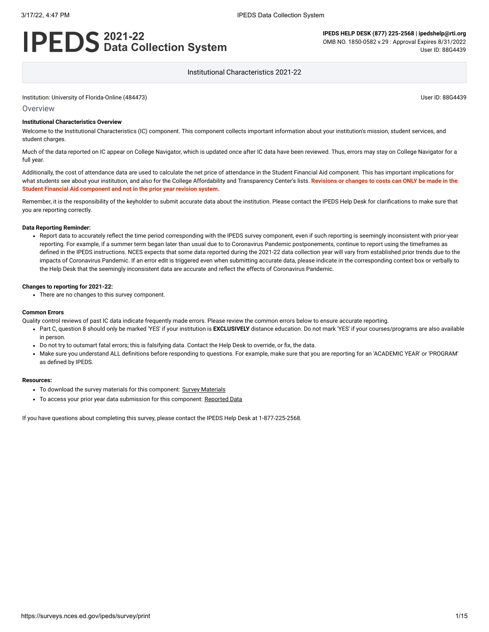# **2021-22 Data Collection System**

**IPEDS HELP DESK (877) 225-2568 | ipedshelp@rti.org** OMB NO. 1850-0582 v.29 : Approval Expires 8/31/2022 User ID: 88G4439

Institutional Characteristics 2021-22

Institution: University of Florida-Online (484473) User ID: 88G4439

#### **Overview**

#### **Institutional Characteristics Overview**

Welcome to the Institutional Characteristics (IC) component. This component collects important information about your institution's mission, student services, and student charges.

Much of the data reported on IC appear on College Navigator, which is updated once after IC data have been reviewed. Thus, errors may stay on College Navigator for a full year.

Additionally, the cost of attendance data are used to calculate the net price of attendance in the Student Financial Aid component. This has important implications for what students see about your institution, and also for the College Affordability and Transparency Center's lists. **Revisions or changes to costs can ONLY be made in the Student Financial Aid component and not in the prior year revision system.**

Remember, it is the responsibility of the keyholder to submit accurate data about the institution. Please contact the IPEDS Help Desk for clarifications to make sure that you are reporting correctly.

#### **Data Reporting Reminder:**

• Report data to accurately reflect the time period corresponding with the IPEDS survey component, even if such reporting is seemingly inconsistent with prior-year reporting. For example, if a summer term began later than usual due to to Coronavirus Pandemic postponements, continue to report using the timeframes as defined in the IPEDS instructions. NCES expects that some data reported during the 2021-22 data collection year will vary from established prior trends due to the impacts of Coronavirus Pandemic. If an error edit is triggered even when submitting accurate data, please indicate in the corresponding context box or verbally to the Help Desk that the seemingly inconsistent data are accurate and reflect the effects of Coronavirus Pandemic.

#### **Changes to reporting for 2021-22:**

There are no changes to this survey component.

#### **Common Errors**

Quality control reviews of past IC data indicate frequently made errors. Please review the common errors below to ensure accurate reporting.

- Part C, question 8 should only be marked 'YES' if your institution is **EXCLUSIVELY** distance education. Do not mark 'YES' if your courses/programs are also available in person.
- Do not try to outsmart fatal errors; this is falsifying data. Contact the Help Desk to override, or fix, the data.
- Make sure you understand ALL definitions before responding to questions. For example, make sure that you are reporting for an 'ACADEMIC YEAR' or 'PROGRAM' as defined by IPEDS.

#### **Resources:**

- To download the survey materials for this component: Survey [Materials](https://surveys.nces.ed.gov/ipeds/public/survey-materials/index)
- To access your prior year data submission for this component: [Reported Data](javascript:openReportedData(484473, 11))

If you have questions about completing this survey, please contact the IPEDS Help Desk at 1-877-225-2568.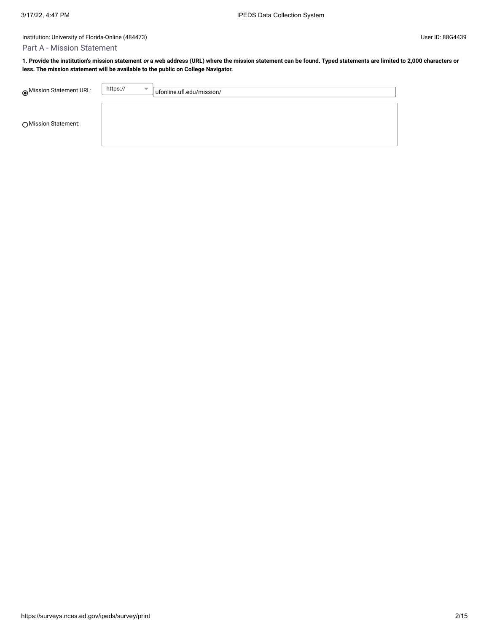# Part A - Mission Statement

**1. Provide the institution's mission statement or a web address (URL) where the mission statement can be found. Typed statements are limited to 2,000 characters or less. The mission statement will be available to the public on College Navigator.**

| ◉ Mission Statement URL: | https:// | $\overline{\phantom{a}}$ | ufonline.ufl.edu/mission/ |
|--------------------------|----------|--------------------------|---------------------------|
| ○ Mission Statement:     |          |                          |                           |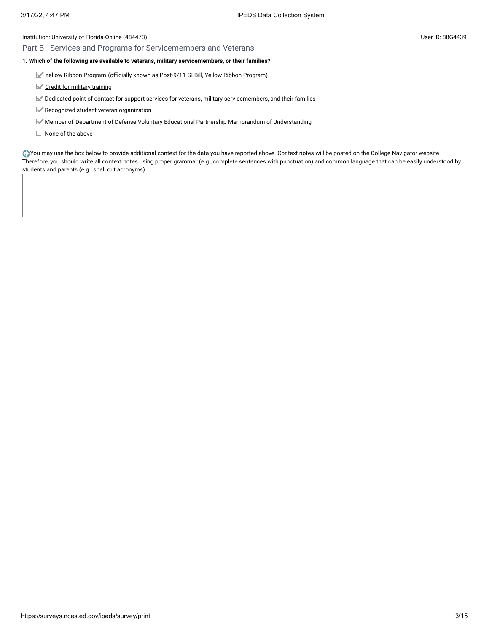# Part B - Services and Programs for Servicemembers and Veterans

# **1. Which of the following are available to veterans, military servicemembers, or their families?**

Yellow [Ribbon Program \(](javascript:openglossary(1044))officially known as Post-9/11 GI Bill, Yellow Ribbon Program)

- Credit for military [training](javascript:openglossary(1047))
- Dedicated point of contact for support services for veterans, military servicemembers, and their families
- Recognized student veteran organization
- Member of Department of [Defense Voluntary](javascript:openglossary(1069)) Educational Partnership Memorandum of Understanding
- $\Box$  None of the above

You may use the box below to provide additional context for the data you have reported above. Context notes will be posted on the College Navigator website. Therefore, you should write all context notes using proper grammar (e.g., complete sentences with punctuation) and common language that can be easily understood by students and parents (e.g., spell out acronyms).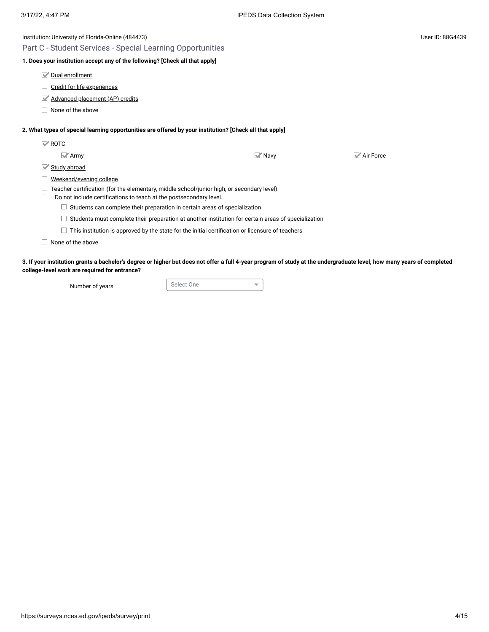| Institution: University of Florida-Online (484473)                                                                                                              |                   |                        | User ID: 88G4439 |
|-----------------------------------------------------------------------------------------------------------------------------------------------------------------|-------------------|------------------------|------------------|
| Part C - Student Services - Special Learning Opportunities                                                                                                      |                   |                        |                  |
| 1. Does your institution accept any of the following? [Check all that apply]                                                                                    |                   |                        |                  |
| Dual enrollment                                                                                                                                                 |                   |                        |                  |
| Credit for life experiences                                                                                                                                     |                   |                        |                  |
| Advanced placement (AP) credits                                                                                                                                 |                   |                        |                  |
| None of the above                                                                                                                                               |                   |                        |                  |
| 2. What types of special learning opportunities are offered by your institution? [Check all that apply]                                                         |                   |                        |                  |
| $\mathbb{Z}$ ROTC                                                                                                                                               |                   |                        |                  |
| $\mathbb{Z}$ Army                                                                                                                                               | $\mathbb{Z}$ Navy | $\mathbb{Z}$ Air Force |                  |
| Study abroad<br>M                                                                                                                                               |                   |                        |                  |
| Weekend/evening college                                                                                                                                         |                   |                        |                  |
| Teacher certification (for the elementary, middle school/junior high, or secondary level)<br>Do not include certifications to teach at the postsecondary level. |                   |                        |                  |
| Students can complete their preparation in certain areas of specialization                                                                                      |                   |                        |                  |
| Students must complete their preparation at another institution for certain areas of specialization                                                             |                   |                        |                  |
| This institution is approved by the state for the initial certification or licensure of teachers                                                                |                   |                        |                  |
| None of the above                                                                                                                                               |                   |                        |                  |
|                                                                                                                                                                 |                   |                        |                  |

**3. If your institution grants a bachelor's degree or higher but does not offer a full 4-year program of study at the undergraduate level, how many years of completed college-level work are required for entrance?**

Number of years **Select One** 

 $\overline{\mathbf{v}}$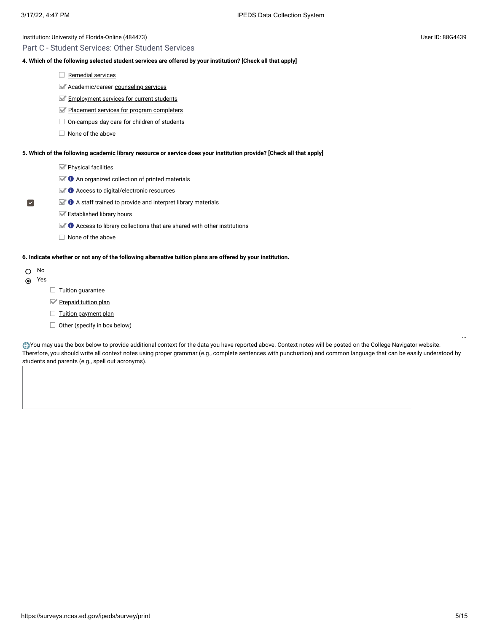# Part C - Student Services: Other Student Services

# **4. Which of the following selected student services are offered by your institution? [Check all that apply]**

- $\Box$  [Remedial](javascript:openglossary(547)) services
- **Academic/career [counseling](javascript:openglossary(149)) services**
- **[Employment](javascript:openglossary(195)) services for current students**
- Placement services for [program completers](javascript:openglossary(479))
- $\Box$  On-campus day [care](javascript:openglossary(165)) for children of students
- $\Box$  None of the above

#### **5. Which of the following [academic library](javascript:openglossary(1015)) resource or service does your institution provide? [Check all that apply]**

- Physical facilities
- $\blacktriangleright$  **O** An organized collection of printed materials
- $\mathbb{Z}$   $\bullet$  Access to digital/electronic resources
- $\blacktriangleright$  **O** A staff trained to provide and interpret library materials
	- Established library hours
	- $\blacktriangleright$   $\blacklozenge$  Access to library collections that are shared with other institutions
	- $\Box$  None of the above

### **6. Indicate whether or not any of the following alternative tuition plans are offered by your institution.**

O No

 $\blacktriangledown$ 

- Yes
- $\Box$  Tuition quarantee
- [Prepaid tuition plan](javascript:openglossary(950))
- $\Box$  [Tuition payment](javascript:openglossary(951)) plan
- $\Box$  Other (specify in box below)

You may use the box below to provide additional context for the data you have reported above. Context notes will be posted on the College Navigator website. Therefore, you should write all context notes using proper grammar (e.g., complete sentences with punctuation) and common language that can be easily understood by students and parents (e.g., spell out acronyms).

...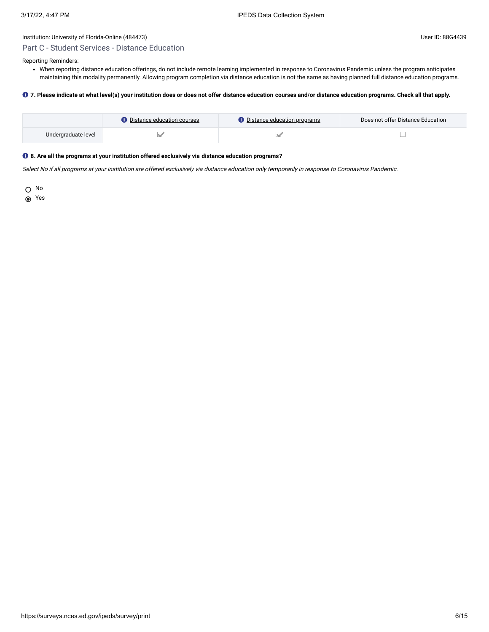# Part C - Student Services - Distance Education

Reporting Reminders:

When reporting distance education offerings, do not include remote learning implemented in response to Coronavirus Pandemic unless the program anticipates maintaining this modality permanently. Allowing program completion via distance education is not the same as having planned full distance education programs.

# **7. Please indicate at what level(s) your institution does or does not offer [distance education](javascript:openglossary(713)) courses and/or distance education programs. Check all that apply.**

|                     | <b>D</b> Distance education courses | Distance education programs | Does not offer Distance Education |
|---------------------|-------------------------------------|-----------------------------|-----------------------------------|
| Undergraduate level |                                     |                             |                                   |

# **8. Are all the programs at your institution offered exclusively via [distance education programs](javascript:openglossary(977))?**

Select No if all programs at your institution are offered exclusively via distance education only temporarily in response to Coronavirus Pandemic.

O No

**⊙** Yes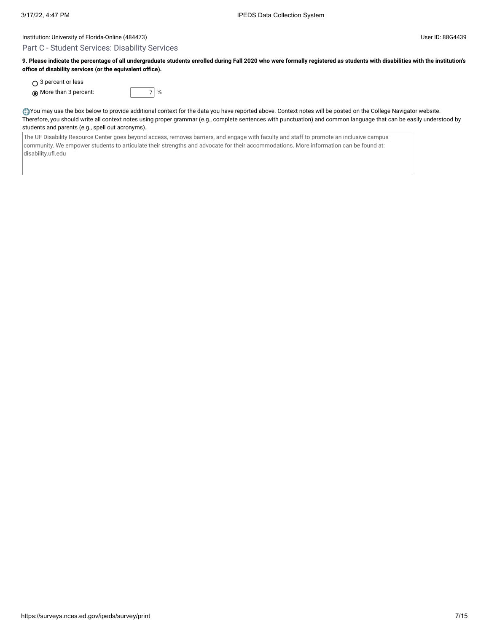## Part C - Student Services: Disability Services

**9. Please indicate the percentage of all undergraduate students enrolled during Fall 2020 who were formally registered as students with disabilities with the institution's office of disability services (or the equivalent office).**

○ 3 percent or less

More than 3 percent: 7 %

You may use the box below to provide additional context for the data you have reported above. Context notes will be posted on the College Navigator website. Therefore, you should write all context notes using proper grammar (e.g., complete sentences with punctuation) and common language that can be easily understood by students and parents (e.g., spell out acronyms).

The UF Disability Resource Center goes beyond access, removes barriers, and engage with faculty and staff to promote an inclusive campus community. We empower students to articulate their strengths and advocate for their accommodations. More information can be found at: disability.ufl.edu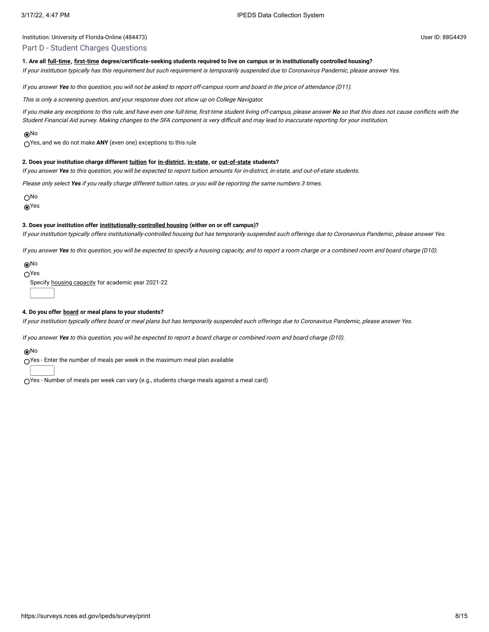### Part D - Student Charges Questions

### **1. Are all [full-time,](javascript:openglossary(259)) [first-time](javascript:openglossary(241)) degree/certificate-seeking students required to live on campus or in institutionally controlled housing?**

If your institution typically has this requirement but such requirement is temporarily suspended due to Coronavirus Pandemic, please answer Yes.

If you answer **Yes** to this question, you will not be asked to report off-campus room and board in the price of attendance (D11).

This is only <sup>a</sup> screening question, and your response does not show up on College Navigator.

If you make any exceptions to this rule, and have even one full-time, first-time student living off-campus, please answer **No** so that this does not cause conflicts with the Student Financial Aid survey. Making changes to the SFA component is very difficult and may lead to inaccurate reporting for your institution.

#### No

Yes, and we do not make **ANY** (even one) exceptions to this rule

#### **2. Does your institution charge different [tuition](javascript:openglossary(848)) for [in-district](javascript:openglossary(303)), [in-state,](javascript:openglossary(309)) or [out-of-state](javascript:openglossary(463)) students?**

If you answer **Yes** to this question, you will be expected to report tuition amounts for in-district, in-state, and out-of-state students.

Please only select **Yes** if you really charge different tuition rates, or you will be reporting the same numbers 3 times.

No

**®Yes** 

#### **3. Does your institution offer [institutionally-controlled housing](javascript:openglossary(970)) (either on or off campus)?**

If your institution typically offers institutionally-controlled housing but has temporarily suspended such offerings due to Coronavirus Pandemic, please answer Yes.

If you answer **Yes** to this question, you will be expected to specify <sup>a</sup> housing capacity, and to report <sup>a</sup> room charge or <sup>a</sup> combined room and board charge (D10).

### No

 $\bigcap$ Yes

Specify housing [capacity](javascript:openglossary(185)) for academic year 2021-22

#### **4. Do you offer [board](javascript:openglossary(87)) or meal plans to your students?**

If your institution typically offers board or meal plans but has temporarily suspended such offerings due to Coronavirus Pandemic, please answer Yes.

If you answer **Yes** to this question, you will be expected to report <sup>a</sup> board charge or combined room and board charge (D10).

#### No

Yes - Enter the number of meals per week in the maximum meal plan available

 $\bigcirc$ Yes - Number of meals per week can vary (e.g., students charge meals against a meal card)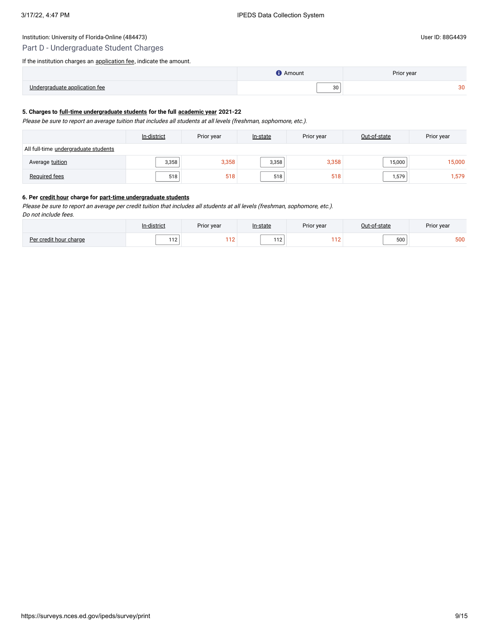# Part D - Undergraduate Student Charges

If the institution charges an **application fee**, indicate the amount.

# **5. Charges to [full-time undergraduate students](javascript:openglossary(259)) for the full [academic year](javascript:openglossary(19)) 2021-22**

Please be sure to report an average tuition that includes all students at all levels (freshman, sophomore, etc.).

|                                      | In-district<br>Prior year |       | In-state | Prior year |        | Prior year |
|--------------------------------------|---------------------------|-------|----------|------------|--------|------------|
| All full-time undergraduate students |                           |       |          |            |        |            |
| Average tuition                      | 3,358                     | 3,358 | 3,358    | 3,358      | 15,000 | 15,000     |
| Required fees                        | 518                       | 518   | 518      | 518        | 1,579  | .579       |

#### **6. Per [credit hour](javascript:openglossary(155)) charge for [part-time undergraduate students](javascript:openglossary(469))**

Please be sure to report an average per credit tuition that includes all students at all levels (freshman, sophomore, etc.).

Do not include fees.

|                                       | listrict<br>In-c | Prior year        | In-state | Prior year |              | Prior year |
|---------------------------------------|------------------|-------------------|----------|------------|--------------|------------|
| D <sub>ol</sub><br>credit hour charge | $\cdots$<br>. .  | 110<br>$\sqrt{2}$ | $-1$     | <b>A</b>   | $-00$<br>JUU | 500        |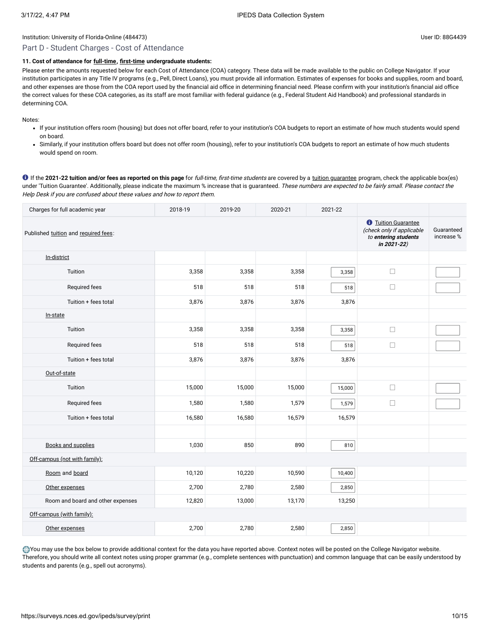# Part D - Student Charges - Cost of Attendance

# **11. Cost of attendance for [full-time](javascript:openglossary(259)), [first-time](javascript:openglossary(241)) undergraduate students:**

Please enter the amounts requested below for each Cost of Attendance (COA) category. These data will be made available to the public on College Navigator. If your institution participates in any Title IV programs (e.g., Pell, Direct Loans), you must provide all information. Estimates of expenses for books and supplies, room and board, and other expenses are those from the COA report used by the financial aid office in determining financial need. Please confirm with your institution's financial aid office the correct values for these COA categories, as its staff are most familiar with federal guidance (e.g., Federal Student Aid Handbook) and professional standards in determining COA.

Notes:

- If your institution offers room (housing) but does not offer board, refer to your institution's COA budgets to report an estimate of how much students would spend on board.
- Similarly, if your institution offers board but does not offer room (housing), refer to your institution's COA budgets to report an estimate of how much students would spend on room.

**O** If the 2021-22 tuition and/or fees as reported on this page for full-time, first-time students are covered by a [tuition guarantee](javascript:openglossary(949)) program, check the applicable box(es) under 'Tuition Guarantee'. Additionally, please indicate the maximum % increase that is guaranteed. These numbers are expected to be fairly small. Please contact the Help Desk if you are confused about these values and how to report them.

| Charges for full academic year       | 2018-19                                                                                               | 2019-20                  | 2020-21 | 2021-22 |        |  |
|--------------------------------------|-------------------------------------------------------------------------------------------------------|--------------------------|---------|---------|--------|--|
| Published tuition and required fees: | <b><i>O</i></b> Tuition Guarantee<br>(check only if applicable<br>to entering students<br>in 2021-22) | Guaranteed<br>increase % |         |         |        |  |
| In-district                          |                                                                                                       |                          |         |         |        |  |
| Tuition                              | 3,358                                                                                                 | 3,358                    | 3,358   | 3,358   | $\Box$ |  |
| Required fees                        | 518                                                                                                   | 518                      | 518     | 518     | $\Box$ |  |
| Tuition + fees total                 | 3,876                                                                                                 | 3,876                    | 3,876   | 3,876   |        |  |
| In-state                             |                                                                                                       |                          |         |         |        |  |
| Tuition                              | 3,358                                                                                                 | 3,358                    | 3,358   | 3,358   | $\Box$ |  |
| Required fees                        | 518                                                                                                   | 518                      | 518     | 518     | $\Box$ |  |
| Tuition + fees total                 | 3,876                                                                                                 | 3,876                    | 3,876   | 3,876   |        |  |
| Out-of-state                         |                                                                                                       |                          |         |         |        |  |
| Tuition                              | 15,000                                                                                                | 15,000                   | 15,000  | 15,000  | $\Box$ |  |
| Required fees                        | 1,580                                                                                                 | 1,580                    | 1,579   | 1,579   | $\Box$ |  |
| Tuition + fees total                 | 16,580                                                                                                | 16,580                   | 16,579  | 16,579  |        |  |
|                                      |                                                                                                       |                          |         |         |        |  |
| <b>Books and supplies</b>            | 1,030                                                                                                 | 850                      | 890     | 810     |        |  |
| Off-campus (not with family):        |                                                                                                       |                          |         |         |        |  |
| Room and board                       | 10,120                                                                                                | 10,220                   | 10,590  | 10,400  |        |  |
| Other expenses                       | 2,700                                                                                                 | 2,780                    | 2,580   | 2,850   |        |  |
| Room and board and other expenses    | 12,820                                                                                                | 13,000                   | 13,170  | 13,250  |        |  |
| Off-campus (with family):            |                                                                                                       |                          |         |         |        |  |
| Other expenses                       | 2,700                                                                                                 | 2,780                    | 2,580   | 2,850   |        |  |

You may use the box below to provide additional context for the data you have reported above. Context notes will be posted on the College Navigator website. Therefore, you should write all context notes using proper grammar (e.g., complete sentences with punctuation) and common language that can be easily understood by students and parents (e.g., spell out acronyms).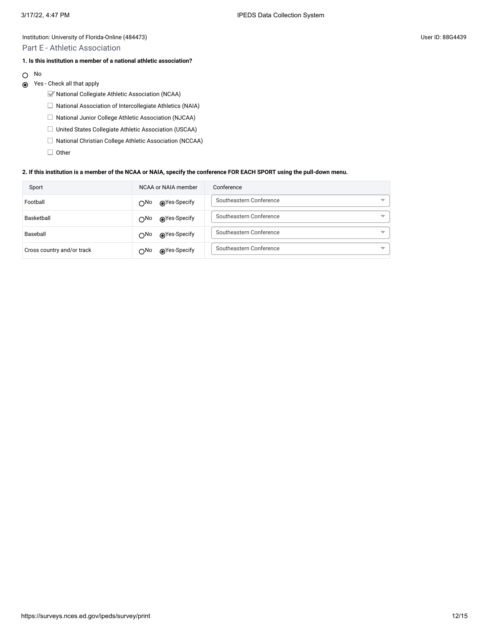### Part E - Athletic Association

# **1. Is this institution a member of a national athletic association?**

- No  $\circ$
- Yes Check all that apply
	- National Collegiate Athletic Association (NCAA)
	- $\Box$  National Association of Intercollegiate Athletics (NAIA)
	- □ National Junior College Athletic Association (NJCAA)
	- □ United States Collegiate Athletic Association (USCAA)
	- $\Box$  National Christian College Athletic Association (NCCAA)
	- $\Box$  Other

#### **2. If this institution is a member of the NCAA or NAIA, specify the conference FOR EACH SPORT using the pull-down menu.**

| Sport                      | NCAA or NAIA member          | Conference                                          |
|----------------------------|------------------------------|-----------------------------------------------------|
| Football                   | ⊚Yes-Specify<br>$\bigcap$ No | Southeastern Conference<br>$\overline{\phantom{a}}$ |
| Basketball                 | ⊚Yes-Specify<br>$\bigcap$ No | Southeastern Conference                             |
| Baseball                   | ⊚Yes-Specify<br>$\bigcap$ No | Southeastern Conference                             |
| Cross country and/or track | ⊚Yes-Specify<br>$\bigcap$ No | Southeastern Conference<br>$\overline{\phantom{a}}$ |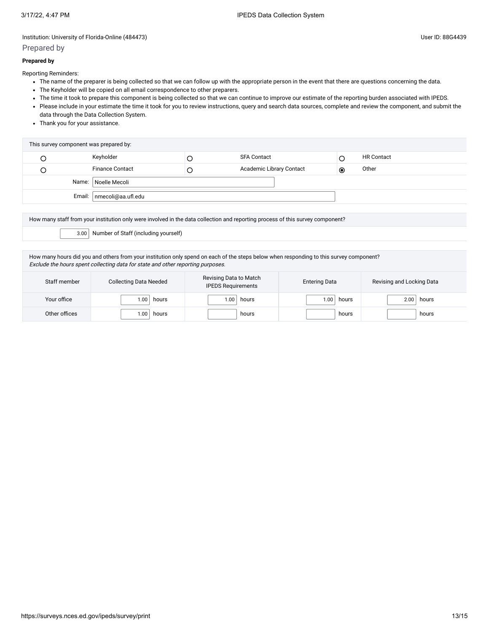# Prepared by

Reporting Reminders:

- The name of the preparer is being collected so that we can follow up with the appropriate person in the event that there are questions concerning the data.
- The Keyholder will be copied on all email correspondence to other preparers.
- The time it took to prepare this component is being collected so that we can continue to improve our estimate of the reporting burden associated with IPEDS.
- Please include in your estimate the time it took for you to review instructions, query and search data sources, complete and review the component, and submit the data through the Data Collection System.
- Thank you for your assistance.

| This survey component was prepared by: |                             |  |                          |   |                   |
|----------------------------------------|-----------------------------|--|--------------------------|---|-------------------|
|                                        | Keyholder                   |  | <b>SFA Contact</b>       |   | <b>HR Contact</b> |
|                                        | <b>Finance Contact</b>      |  | Academic Library Contact | ◉ | Other             |
|                                        | Name:   Noelle Mecoli       |  |                          |   |                   |
|                                        | Email:   nmecoli@aa.ufl.edu |  |                          |   |                   |

How many staff from your institution only were involved in the data collection and reporting process of this survey component?

3.00 Number of Staff (including yourself)

How many hours did you and others from your institution only spend on each of the steps below when responding to this survey component? Exclude the hours spent collecting data for state and other reporting purposes.

| Staff member  | <b>Collecting Data Needed</b> | Revising Data to Match<br><b>IPEDS Requirements</b> | <b>Entering Data</b> | Revising and Locking Data |
|---------------|-------------------------------|-----------------------------------------------------|----------------------|---------------------------|
| Your office   | .00<br>hours                  | hours<br>00.1                                       | hours<br>1.00        | hours<br>2.00             |
| Other offices | .00<br>hours                  | hours                                               | hours                | hours                     |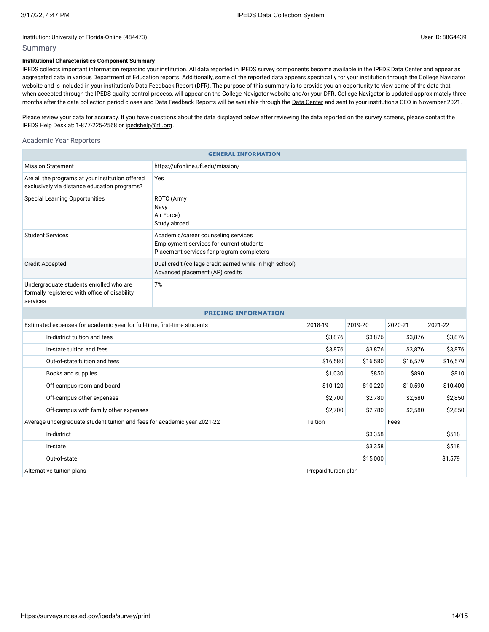# Summary

# **Institutional Characteristics Component Summary**

IPEDS collects important information regarding your institution. All data reported in IPEDS survey components become available in the IPEDS Data Center and appear as aggregated data in various Department of Education reports. Additionally, some of the reported data appears specifically for your institution through the College Navigator website and is included in your institution's Data Feedback Report (DFR). The purpose of this summary is to provide you an opportunity to view some of the data that, when accepted through the IPEDS quality control process, will appear on the College Navigator website and/or your DFR. College Navigator is updated approximately three months after the data collection period closes and Data Feedback Reports will be available through the Data [Center](https://nces.ed.gov/ipeds/use-the-data) and sent to your institution's CEO in November 2021.

Please review your data for accuracy. If you have questions about the data displayed below after reviewing the data reported on the survey screens, please contact the IPEDS Help Desk at: 1-877-225-2568 or [ipedshelp@rti.org.](mailto:ipedshelp@rti.org)

### Academic Year Reporters

| <b>GENERAL INFORMATION</b>                                                                                                                              |                                                                                             |                      |          |          |          |  |  |
|---------------------------------------------------------------------------------------------------------------------------------------------------------|---------------------------------------------------------------------------------------------|----------------------|----------|----------|----------|--|--|
| <b>Mission Statement</b>                                                                                                                                | https://ufonline.ufl.edu/mission/                                                           |                      |          |          |          |  |  |
| Are all the programs at your institution offered<br>exclusively via distance education programs?                                                        | Yes                                                                                         |                      |          |          |          |  |  |
| <b>Special Learning Opportunities</b><br>ROTC (Army<br>Navy<br>Air Force)<br>Study abroad                                                               |                                                                                             |                      |          |          |          |  |  |
| <b>Student Services</b><br>Academic/career counseling services<br>Employment services for current students<br>Placement services for program completers |                                                                                             |                      |          |          |          |  |  |
| <b>Credit Accepted</b>                                                                                                                                  | Dual credit (college credit earned while in high school)<br>Advanced placement (AP) credits |                      |          |          |          |  |  |
| Undergraduate students enrolled who are<br>formally registered with office of disability<br>services                                                    | 7%                                                                                          |                      |          |          |          |  |  |
|                                                                                                                                                         | <b>PRICING INFORMATION</b>                                                                  |                      |          |          |          |  |  |
| Estimated expenses for academic year for full-time, first-time students                                                                                 |                                                                                             | 2018-19              | 2019-20  | 2020-21  | 2021-22  |  |  |
| In-district tuition and fees                                                                                                                            |                                                                                             | \$3,876              | \$3,876  | \$3,876  | \$3,876  |  |  |
| In-state tuition and fees                                                                                                                               |                                                                                             | \$3,876              | \$3,876  | \$3,876  | \$3,876  |  |  |
| Out-of-state tuition and fees                                                                                                                           |                                                                                             | \$16,580             | \$16,580 | \$16,579 | \$16,579 |  |  |
| Books and supplies                                                                                                                                      |                                                                                             | \$1,030              | \$850    | \$890    | \$810    |  |  |
| Off-campus room and board                                                                                                                               |                                                                                             | \$10,120             | \$10,220 | \$10,590 | \$10,400 |  |  |
| Off-campus other expenses                                                                                                                               |                                                                                             | \$2,700              | \$2,780  | \$2,580  | \$2,850  |  |  |
| Off-campus with family other expenses                                                                                                                   |                                                                                             | \$2,700              | \$2,780  | \$2,580  | \$2,850  |  |  |
| Average undergraduate student tuition and fees for academic year 2021-22                                                                                |                                                                                             | Tuition              |          | Fees     |          |  |  |
| In-district                                                                                                                                             |                                                                                             |                      | \$3,358  |          | \$518    |  |  |
| In-state                                                                                                                                                |                                                                                             | \$3,358              |          |          | \$518    |  |  |
| Out-of-state                                                                                                                                            |                                                                                             | \$1,579<br>\$15,000  |          |          |          |  |  |
| Alternative tuition plans                                                                                                                               |                                                                                             | Prepaid tuition plan |          |          |          |  |  |